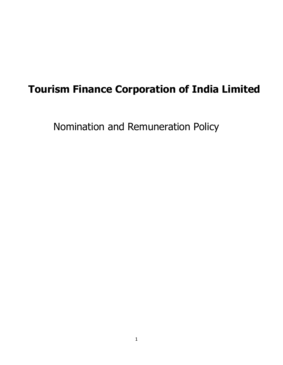# **Tourism Finance Corporation of India Limited**

Nomination and Remuneration Policy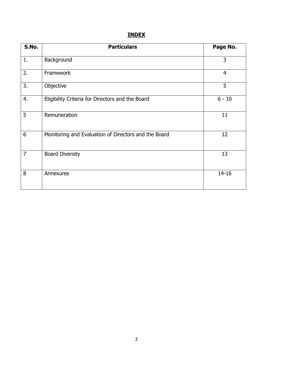# **INDEX**

| S.No. | <b>Particulars</b>                                   | Page No.       |
|-------|------------------------------------------------------|----------------|
| 1.    | Background                                           | 3              |
| 2.    | Framework                                            | $\overline{4}$ |
| 3.    | Objective                                            | 5              |
| 4.    | Eligibility Criteria for Directors and the Board     | $6 - 10$       |
| 5     | Remuneration                                         | 11             |
| 6     | Monitoring and Evaluation of Directors and the Board | 12             |
| 7     | <b>Board Diversity</b>                               | 13             |
| 8     | Annexures                                            | $14 - 16$      |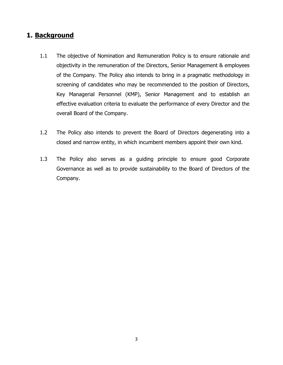## **1. Background**

- 1.1 The objective of Nomination and Remuneration Policy is to ensure rationale and objectivity in the remuneration of the Directors, Senior Management & employees of the Company. The Policy also intends to bring in a pragmatic methodology in screening of candidates who may be recommended to the position of Directors, Key Managerial Personnel (KMP), Senior Management and to establish an effective evaluation criteria to evaluate the performance of every Director and the overall Board of the Company.
- 1.2 The Policy also intends to prevent the Board of Directors degenerating into a closed and narrow entity, in which incumbent members appoint their own kind.
- 1.3 The Policy also serves as a guiding principle to ensure good Corporate Governance as well as to provide sustainability to the Board of Directors of the Company.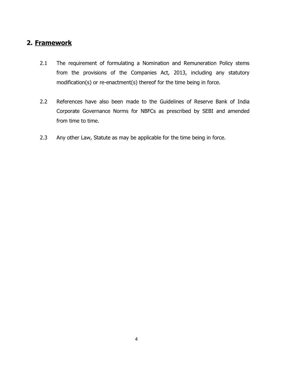## **2. Framework**

- 2.1 The requirement of formulating a Nomination and Remuneration Policy stems from the provisions of the Companies Act, 2013, including any statutory modification(s) or re-enactment(s) thereof for the time being in force.
- 2.2 References have also been made to the Guidelines of Reserve Bank of India Corporate Governance Norms for NBFCs as prescribed by SEBI and amended from time to time.
- 2.3 Any other Law, Statute as may be applicable for the time being in force.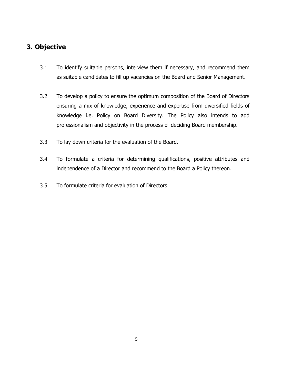# **3. Objective**

- 3.1 To identify suitable persons, interview them if necessary, and recommend them as suitable candidates to fill up vacancies on the Board and Senior Management.
- 3.2 To develop a policy to ensure the optimum composition of the Board of Directors ensuring a mix of knowledge, experience and expertise from diversified fields of knowledge i.e. Policy on Board Diversity. The Policy also intends to add professionalism and objectivity in the process of deciding Board membership.
- 3.3 To lay down criteria for the evaluation of the Board.
- 3.4 To formulate a criteria for determining qualifications, positive attributes and independence of a Director and recommend to the Board a Policy thereon.
- 3.5 To formulate criteria for evaluation of Directors.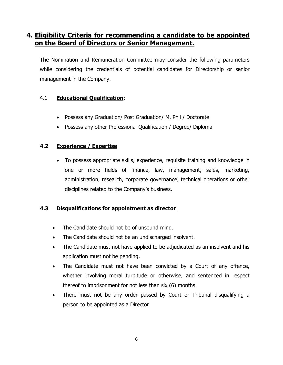## **4. Eligibility Criteria for recommending a candidate to be appointed on the Board of Directors or Senior Management.**

The Nomination and Remuneration Committee may consider the following parameters while considering the credentials of potential candidates for Directorship or senior management in the Company.

#### 4.1 **Educational Qualification**:

- Possess any Graduation/ Post Graduation/ M. Phil / Doctorate
- Possess any other Professional Qualification / Degree/ Diploma

#### **4.2 Experience / Expertise**

 To possess appropriate skills, experience, requisite training and knowledge in one or more fields of finance, law, management, sales, marketing, administration, research, corporate governance, technical operations or other disciplines related to the Company's business.

#### **4.3 Disqualifications for appointment as director**

- The Candidate should not be of unsound mind.
- The Candidate should not be an undischarged insolvent.
- The Candidate must not have applied to be adjudicated as an insolvent and his application must not be pending.
- The Candidate must not have been convicted by a Court of any offence, whether involving moral turpitude or otherwise, and sentenced in respect thereof to imprisonment for not less than six (6) months.
- There must not be any order passed by Court or Tribunal disqualifying a person to be appointed as a Director.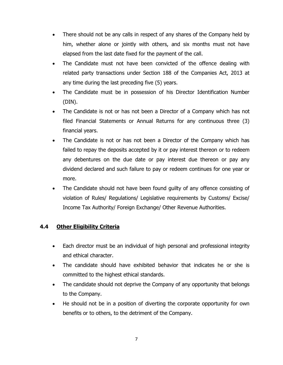- There should not be any calls in respect of any shares of the Company held by him, whether alone or jointly with others, and six months must not have elapsed from the last date fixed for the payment of the call.
- The Candidate must not have been convicted of the offence dealing with related party transactions under Section 188 of the Companies Act, 2013 at any time during the last preceding five (5) years.
- The Candidate must be in possession of his Director Identification Number (DIN).
- The Candidate is not or has not been a Director of a Company which has not filed Financial Statements or Annual Returns for any continuous three (3) financial years.
- The Candidate is not or has not been a Director of the Company which has failed to repay the deposits accepted by it or pay interest thereon or to redeem any debentures on the due date or pay interest due thereon or pay any dividend declared and such failure to pay or redeem continues for one year or more.
- The Candidate should not have been found guilty of any offence consisting of violation of Rules/ Regulations/ Legislative requirements by Customs/ Excise/ Income Tax Authority/ Foreign Exchange/ Other Revenue Authorities.

## **4.4 Other Eligibility Criteria**

- Each director must be an individual of high personal and professional integrity and ethical character.
- The candidate should have exhibited behavior that indicates he or she is committed to the highest ethical standards.
- The candidate should not deprive the Company of any opportunity that belongs to the Company.
- He should not be in a position of diverting the corporate opportunity for own benefits or to others, to the detriment of the Company.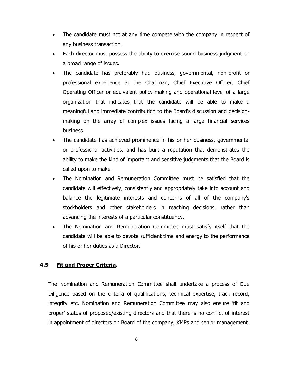- The candidate must not at any time compete with the company in respect of any business transaction.
- Each director must possess the ability to exercise sound business judgment on a broad range of issues.
- The candidate has preferably had business, governmental, non-profit or professional experience at the Chairman, Chief Executive Officer, Chief Operating Officer or equivalent policy-making and operational level of a large organization that indicates that the candidate will be able to make a meaningful and immediate contribution to the Board's discussion and decisionmaking on the array of complex issues facing a large financial services business.
- The candidate has achieved prominence in his or her business, governmental or professional activities, and has built a reputation that demonstrates the ability to make the kind of important and sensitive judgments that the Board is called upon to make.
- The Nomination and Remuneration Committee must be satisfied that the candidate will effectively, consistently and appropriately take into account and balance the legitimate interests and concerns of all of the company's stockholders and other stakeholders in reaching decisions, rather than advancing the interests of a particular constituency.
- The Nomination and Remuneration Committee must satisfy itself that the candidate will be able to devote sufficient time and energy to the performance of his or her duties as a Director.

#### **4.5 Fit and Proper Criteria.**

The Nomination and Remuneration Committee shall undertake a process of Due Diligence based on the criteria of qualifications, technical expertise, track record, integrity etc. Nomination and Remuneration Committee may also ensure 'fit and proper' status of proposed/existing directors and that there is no conflict of interest in appointment of directors on Board of the company, KMPs and senior management.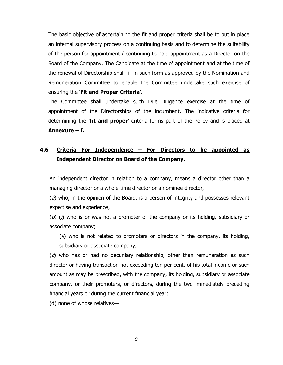The basic objective of ascertaining the fit and proper criteria shall be to put in place an internal supervisory process on a continuing basis and to determine the suitability of the person for appointment / continuing to hold appointment as a Director on the Board of the Company. The Candidate at the time of appointment and at the time of the renewal of Directorship shall fill in such form as approved by the Nomination and Remuneration Committee to enable the Committee undertake such exercise of ensuring the '**Fit and Proper Criteria**'.

The Committee shall undertake such Due Diligence exercise at the time of appointment of the Directorships of the incumbent. The indicative criteria for determining the '**fit and proper**' criteria forms part of the Policy and is placed at **Annexure – I.**

## **4.6 Criteria For Independence – For Directors to be appointed as Independent Director on Board of the Company.**

An independent director in relation to a company, means a director other than a managing director or a whole-time director or a nominee director,—

 $(a)$  who, in the opinion of the Board, is a person of integrity and possesses relevant expertise and experience;

 $(b)$  (i) who is or was not a promoter of the company or its holding, subsidiary or associate company;

 $(i)$  who is not related to promoters or directors in the company, its holding, subsidiary or associate company;

 $(c)$  who has or had no pecuniary relationship, other than remuneration as such director or having transaction not exceeding ten per cent. of his total income or such amount as may be prescribed, with the company, its holding, subsidiary or associate company, or their promoters, or directors, during the two immediately preceding financial years or during the current financial year;

(d) none of whose relatives—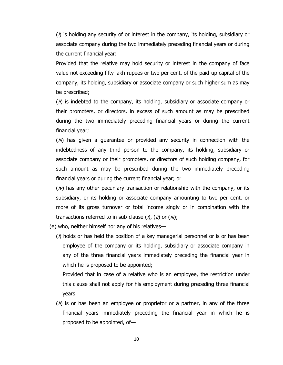$(i)$  is holding any security of or interest in the company, its holding, subsidiary or associate company during the two immediately preceding financial years or during the current financial year:

Provided that the relative may hold security or interest in the company of face value not exceeding fifty lakh rupees or two per cent. of the paid-up capital of the company, its holding, subsidiary or associate company or such higher sum as may be prescribed;

 $(i)$  is indebted to the company, its holding, subsidiary or associate company or their promoters, or directors, in excess of such amount as may be prescribed during the two immediately preceding financial years or during the current financial year;

 $(iii)$  has given a guarantee or provided any security in connection with the indebtedness of any third person to the company, its holding, subsidiary or associate company or their promoters, or directors of such holding company, for such amount as may be prescribed during the two immediately preceding financial years or during the current financial year; or

 $(i)$  has any other pecuniary transaction or relationship with the company, or its subsidiary, or its holding or associate company amounting to two per cent. or more of its gross turnover or total income singly or in combination with the transactions referred to in sub-clause  $(i)$ ,  $(ii)$  or  $(iii)$ ;

(e) who, neither himself nor any of his relatives—

 $(\lambda)$  holds or has held the position of a key managerial personnel or is or has been employee of the company or its holding, subsidiary or associate company in any of the three financial years immediately preceding the financial year in which he is proposed to be appointed;

 Provided that in case of a relative who is an employee, the restriction under this clause shall not apply for his employment during preceding three financial years.

 $(i)$  is or has been an employee or proprietor or a partner, in any of the three financial years immediately preceding the financial year in which he is proposed to be appointed, of—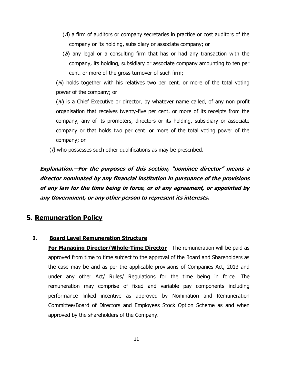- (A) a firm of auditors or company secretaries in practice or cost auditors of the company or its holding, subsidiary or associate company; or
- $(B)$  any legal or a consulting firm that has or had any transaction with the company, its holding, subsidiary or associate company amounting to ten per cent. or more of the gross turnover of such firm;

(iii) holds together with his relatives two per cent. or more of the total voting power of the company; or

 $(i)$  is a Chief Executive or director, by whatever name called, of any non profit organisation that receives twenty-five per cent. or more of its receipts from the company, any of its promoters, directors or its holding, subsidiary or associate company or that holds two per cent. or more of the total voting power of the company; or

 $(\hat{\eta})$  who possesses such other qualifications as may be prescribed.

**Explanation.—For the purposes of this section, "nominee director" means a director nominated by any financial institution in pursuance of the provisions of any law for the time being in force, or of any agreement, or appointed by any Government, or any other person to represent its interests.**

## **5. Remuneration Policy**

#### **I. Board Level Remuneration Structure**

**For Managing Director/Whole-Time Director** - The remuneration will be paid as approved from time to time subject to the approval of the Board and Shareholders as the case may be and as per the applicable provisions of Companies Act, 2013 and under any other Act/ Rules/ Regulations for the time being in force. The remuneration may comprise of fixed and variable pay components including performance linked incentive as approved by Nomination and Remuneration Committee/Board of Directors and Employees Stock Option Scheme as and when approved by the shareholders of the Company.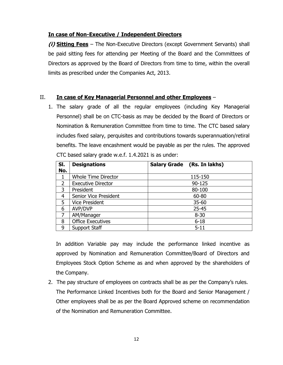#### **In case of Non-Executive / Independent Directors**

**(i) Sitting Fees** – The Non-Executive Directors (except Government Servants) shall be paid sitting fees for attending per Meeting of the Board and the Committees of Directors as approved by the Board of Directors from time to time, within the overall limits as prescribed under the Companies Act, 2013.

#### II. **In case of Key Managerial Personnel and other Employees** –

1. The salary grade of all the regular employees (including Key Managerial Personnel) shall be on CTC-basis as may be decided by the Board of Directors or Nomination & Remuneration Committee from time to time. The CTC based salary includes fixed salary, perquisites and contributions towards superannuation/retiral benefits. The leave encashment would be payable as per the rules. The approved CTC based salary grade w.e.f. 1.4.2021 is as under:

| SI.            | <b>Designations</b>        | Salary Grade (Rs. In lakhs) |
|----------------|----------------------------|-----------------------------|
| No.            |                            |                             |
|                | <b>Whole Time Director</b> | 115-150                     |
| $\overline{2}$ | <b>Executive Director</b>  | 90-125                      |
| 3              | President                  | 80-100                      |
| 4              | Senior Vice President      | 60-80                       |
| 5              | <b>Vice President</b>      | $35 - 60$                   |
| 6              | AVP/DVP                    | $25 - 45$                   |
|                | AM/Manager                 | $8 - 30$                    |
| 8              | <b>Office Executives</b>   | $6 - 18$                    |
| 9              | Support Staff              | $5 - 11$                    |

In addition Variable pay may include the performance linked incentive as approved by Nomination and Remuneration Committee/Board of Directors and Employees Stock Option Scheme as and when approved by the shareholders of the Company.

2. The pay structure of employees on contracts shall be as per the Company's rules. The Performance Linked Incentives both for the Board and Senior Management / Other employees shall be as per the Board Approved scheme on recommendation of the Nomination and Remuneration Committee.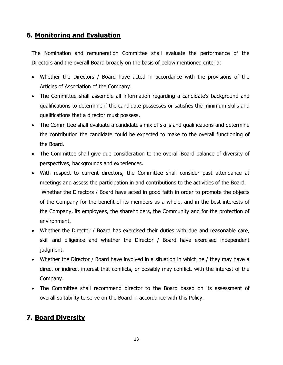# **6. Monitoring and Evaluation**

The Nomination and remuneration Committee shall evaluate the performance of the Directors and the overall Board broadly on the basis of below mentioned criteria:

- Whether the Directors / Board have acted in accordance with the provisions of the Articles of Association of the Company.
- The Committee shall assemble all information regarding a candidate's background and qualifications to determine if the candidate possesses or satisfies the minimum skills and qualifications that a director must possess.
- The Committee shall evaluate a candidate's mix of skills and qualifications and determine the contribution the candidate could be expected to make to the overall functioning of the Board.
- The Committee shall give due consideration to the overall Board balance of diversity of perspectives, backgrounds and experiences.
- With respect to current directors, the Committee shall consider past attendance at meetings and assess the participation in and contributions to the activities of the Board. Whether the Directors / Board have acted in good faith in order to promote the objects of the Company for the benefit of its members as a whole, and in the best interests of the Company, its employees, the shareholders, the Community and for the protection of environment.
- Whether the Director / Board has exercised their duties with due and reasonable care, skill and diligence and whether the Director / Board have exercised independent judgment.
- Whether the Director / Board have involved in a situation in which he / they may have a direct or indirect interest that conflicts, or possibly may conflict, with the interest of the Company.
- The Committee shall recommend director to the Board based on its assessment of overall suitability to serve on the Board in accordance with this Policy.

# **7. Board Diversity**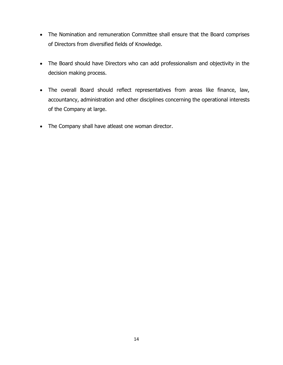- The Nomination and remuneration Committee shall ensure that the Board comprises of Directors from diversified fields of Knowledge.
- The Board should have Directors who can add professionalism and objectivity in the decision making process.
- The overall Board should reflect representatives from areas like finance, law, accountancy, administration and other disciplines concerning the operational interests of the Company at large.
- The Company shall have atleast one woman director.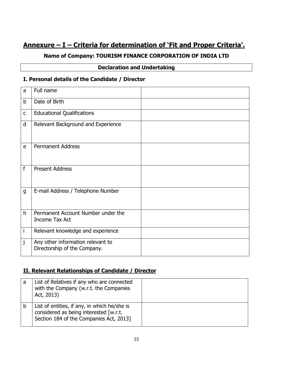# **Annexure – I – Criteria for determination of 'Fit and Proper Criteria'.**

## **Name of Company: TOURISM FINANCE CORPORATION OF INDIA LTD**

#### **Declaration and Undertaking**

#### **I. Personal details of the Candidate / Director**

| a            | Full name                                                         |  |
|--------------|-------------------------------------------------------------------|--|
| b            | Date of Birth                                                     |  |
| $\mathsf C$  | <b>Educational Qualifications</b>                                 |  |
| d            | Relevant Background and Experience                                |  |
| e            | <b>Permanent Address</b>                                          |  |
| f            | <b>Present Address</b>                                            |  |
| $\mathsf{g}$ | E-mail Address / Telephone Number                                 |  |
| h            | Permanent Account Number under the<br>Income Tax Act              |  |
| İ            | Relevant knowledge and experience                                 |  |
| j            | Any other information relevant to<br>Directorship of the Company. |  |

#### **II. Relevant Relationships of Candidate / Director**

| a | List of Relatives if any who are connected<br>with the Company (w.r.t. the Companies<br>Act, 2013)                                |  |
|---|-----------------------------------------------------------------------------------------------------------------------------------|--|
|   | List of entities, if any, in which he/she is<br>considered as being interested [w.r.t.<br>Section 184 of the Companies Act, 2013] |  |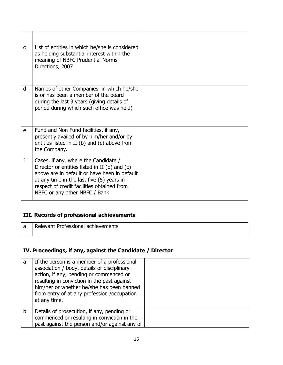| $\mathsf{C}$ | List of entities in which he/she is considered<br>as holding substantial interest within the<br>meaning of NBFC Prudential Norms<br>Directions, 2007.                                                                                                             |  |
|--------------|-------------------------------------------------------------------------------------------------------------------------------------------------------------------------------------------------------------------------------------------------------------------|--|
| d            | Names of other Companies in which he/she<br>is or has been a member of the board<br>during the last 3 years (giving details of<br>period during which such office was held)                                                                                       |  |
| e            | Fund and Non Fund facilities, if any,<br>presently availed of by him/her and/or by<br>entities listed in II (b) and (c) above from<br>the Company.                                                                                                                |  |
| f            | Cases, if any, where the Candidate /<br>Director or entities listed in II (b) and (c)<br>above are in default or have been in default<br>at any time in the last five (5) years in<br>respect of credit facilities obtained from<br>NBFC or any other NBFC / Bank |  |

## **III. Records of professional achievements**

| I Relevant Professional achievements |  |
|--------------------------------------|--|
|                                      |  |

## **IV. Proceedings, if any, against the Candidate / Director**

| a           | If the person is a member of a professional<br>association / body, details of disciplinary<br>action, if any, pending or commenced or                   |  |
|-------------|---------------------------------------------------------------------------------------------------------------------------------------------------------|--|
|             | resulting in conviction in the past against<br>him/her or whether he/she has been banned<br>from entry of at any profession /occupation<br>at any time. |  |
| $\mathsf b$ | Details of prosecution, if any, pending or<br>commenced or resulting in conviction in the<br>past against the person and/or against any of              |  |